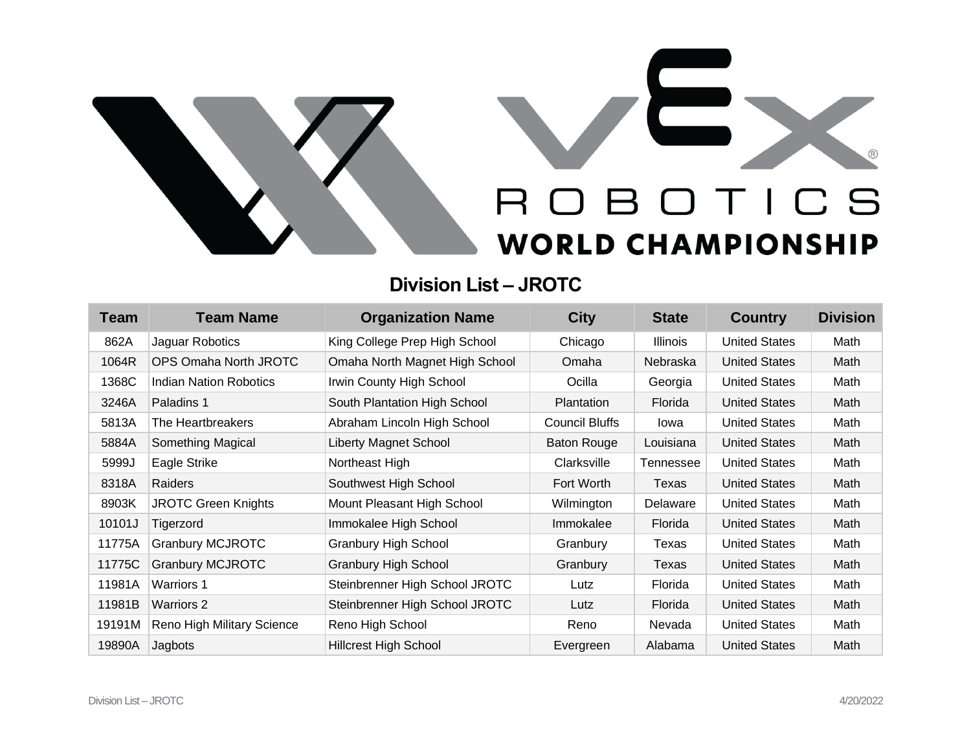

## **Division List – JROTC**

| <b>Team</b> | <b>Team Name</b>              | <b>Organization Name</b>       | <b>City</b>        | <b>State</b>    | <b>Country</b>       | <b>Division</b> |
|-------------|-------------------------------|--------------------------------|--------------------|-----------------|----------------------|-----------------|
| 862A        | Jaguar Robotics               | King College Prep High School  | Chicago            | <b>Illinois</b> | <b>United States</b> | Math            |
| 1064R       | <b>OPS Omaha North JROTC</b>  | Omaha North Magnet High School | Omaha              | Nebraska        | <b>United States</b> | Math            |
| 1368C       | <b>Indian Nation Robotics</b> | Irwin County High School       | Ocilla             | Georgia         | <b>United States</b> | Math            |
| 3246A       | Paladins 1                    | South Plantation High School   | Plantation         | Florida         | <b>United States</b> | Math            |
| 5813A       | The Heartbreakers             | Abraham Lincoln High School    | Council Bluffs     | lowa            | <b>United States</b> | Math            |
| 5884A       | Something Magical             | Liberty Magnet School          | <b>Baton Rouge</b> | Louisiana       | <b>United States</b> | Math            |
| 5999J       | Eagle Strike                  | Northeast High                 | Clarksville        | Tennessee       | <b>United States</b> | Math            |
| 8318A       | Raiders                       | Southwest High School          | Fort Worth         | Texas           | <b>United States</b> | Math            |
| 8903K       | <b>JROTC Green Knights</b>    | Mount Pleasant High School     | Wilmington         | Delaware        | <b>United States</b> | Math            |
| 10101J      | Tigerzord                     | Immokalee High School          | Immokalee          | Florida         | <b>United States</b> | Math            |
| 11775A      | <b>Granbury MCJROTC</b>       | <b>Granbury High School</b>    | Granbury           | Texas           | <b>United States</b> | Math            |
| 11775C      | <b>Granbury MCJROTC</b>       | <b>Granbury High School</b>    | Granbury           | Texas           | <b>United States</b> | Math            |
| 11981A      | <b>Warriors 1</b>             | Steinbrenner High School JROTC | Lutz               | Florida         | <b>United States</b> | Math            |
| 11981B      | <b>Warriors 2</b>             | Steinbrenner High School JROTC | Lutz               | Florida         | <b>United States</b> | Math            |
| 19191M      | Reno High Military Science    | Reno High School               | Reno               | Nevada          | <b>United States</b> | Math            |
| 19890A      | Jagbots                       | <b>Hillcrest High School</b>   | Evergreen          | Alabama         | <b>United States</b> | Math            |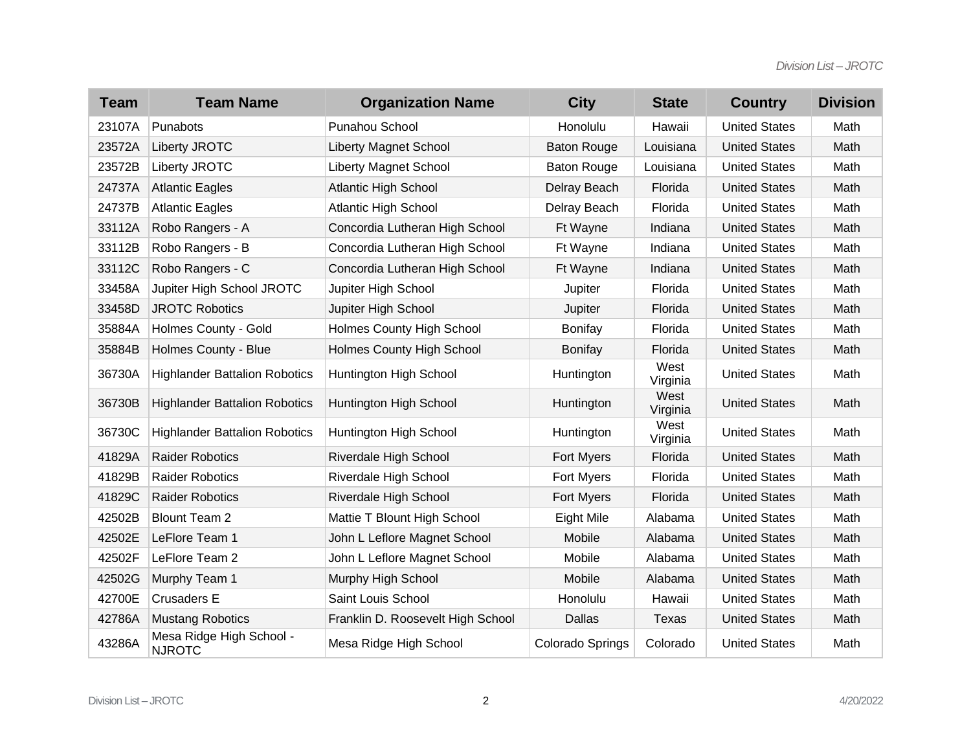| <b>Team</b> | <b>Team Name</b>                          | <b>Organization Name</b>          | <b>City</b>        | <b>State</b>     | <b>Country</b>       | <b>Division</b> |
|-------------|-------------------------------------------|-----------------------------------|--------------------|------------------|----------------------|-----------------|
| 23107A      | Punabots                                  | Punahou School                    | Honolulu           | Hawaii           | <b>United States</b> | Math            |
| 23572A      | Liberty JROTC                             | <b>Liberty Magnet School</b>      | <b>Baton Rouge</b> | Louisiana        | <b>United States</b> | Math            |
| 23572B      | Liberty JROTC                             | <b>Liberty Magnet School</b>      | <b>Baton Rouge</b> | Louisiana        | <b>United States</b> | Math            |
| 24737A      | <b>Atlantic Eagles</b>                    | <b>Atlantic High School</b>       | Delray Beach       | Florida          | <b>United States</b> | Math            |
| 24737B      | <b>Atlantic Eagles</b>                    | <b>Atlantic High School</b>       | Delray Beach       | Florida          | <b>United States</b> | Math            |
| 33112A      | Robo Rangers - A                          | Concordia Lutheran High School    | Ft Wayne           | Indiana          | <b>United States</b> | Math            |
| 33112B      | Robo Rangers - B                          | Concordia Lutheran High School    | Ft Wayne           | Indiana          | <b>United States</b> | Math            |
| 33112C      | Robo Rangers - C                          | Concordia Lutheran High School    | Ft Wayne           | Indiana          | <b>United States</b> | Math            |
| 33458A      | Jupiter High School JROTC                 | Jupiter High School               | Jupiter            | Florida          | <b>United States</b> | Math            |
| 33458D      | <b>JROTC Robotics</b>                     | Jupiter High School               | Jupiter            | Florida          | <b>United States</b> | Math            |
| 35884A      | Holmes County - Gold                      | <b>Holmes County High School</b>  | <b>Bonifay</b>     | Florida          | <b>United States</b> | Math            |
| 35884B      | Holmes County - Blue                      | <b>Holmes County High School</b>  | <b>Bonifay</b>     | Florida          | <b>United States</b> | Math            |
| 36730A      | <b>Highlander Battalion Robotics</b>      | Huntington High School            | Huntington         | West<br>Virginia | <b>United States</b> | Math            |
| 36730B      | <b>Highlander Battalion Robotics</b>      | Huntington High School            | Huntington         | West<br>Virginia | <b>United States</b> | Math            |
| 36730C      | <b>Highlander Battalion Robotics</b>      | Huntington High School            | Huntington         | West<br>Virginia | <b>United States</b> | Math            |
| 41829A      | <b>Raider Robotics</b>                    | Riverdale High School             | Fort Myers         | Florida          | <b>United States</b> | Math            |
| 41829B      | <b>Raider Robotics</b>                    | Riverdale High School             | Fort Myers         | Florida          | <b>United States</b> | Math            |
| 41829C      | <b>Raider Robotics</b>                    | Riverdale High School             | Fort Myers         | Florida          | <b>United States</b> | Math            |
| 42502B      | <b>Blount Team 2</b>                      | Mattie T Blount High School       | Eight Mile         | Alabama          | <b>United States</b> | Math            |
| 42502E      | LeFlore Team 1                            | John L Leflore Magnet School      | Mobile             | Alabama          | <b>United States</b> | Math            |
| 42502F      | LeFlore Team 2                            | John L Leflore Magnet School      | Mobile             | Alabama          | <b>United States</b> | Math            |
| 42502G      | Murphy Team 1                             | Murphy High School                | Mobile             | Alabama          | <b>United States</b> | Math            |
| 42700E      | <b>Crusaders E</b>                        | Saint Louis School                | Honolulu           | Hawaii           | <b>United States</b> | Math            |
| 42786A      | <b>Mustang Robotics</b>                   | Franklin D. Roosevelt High School | <b>Dallas</b>      | Texas            | <b>United States</b> | Math            |
| 43286A      | Mesa Ridge High School -<br><b>NJROTC</b> | Mesa Ridge High School            | Colorado Springs   | Colorado         | <b>United States</b> | Math            |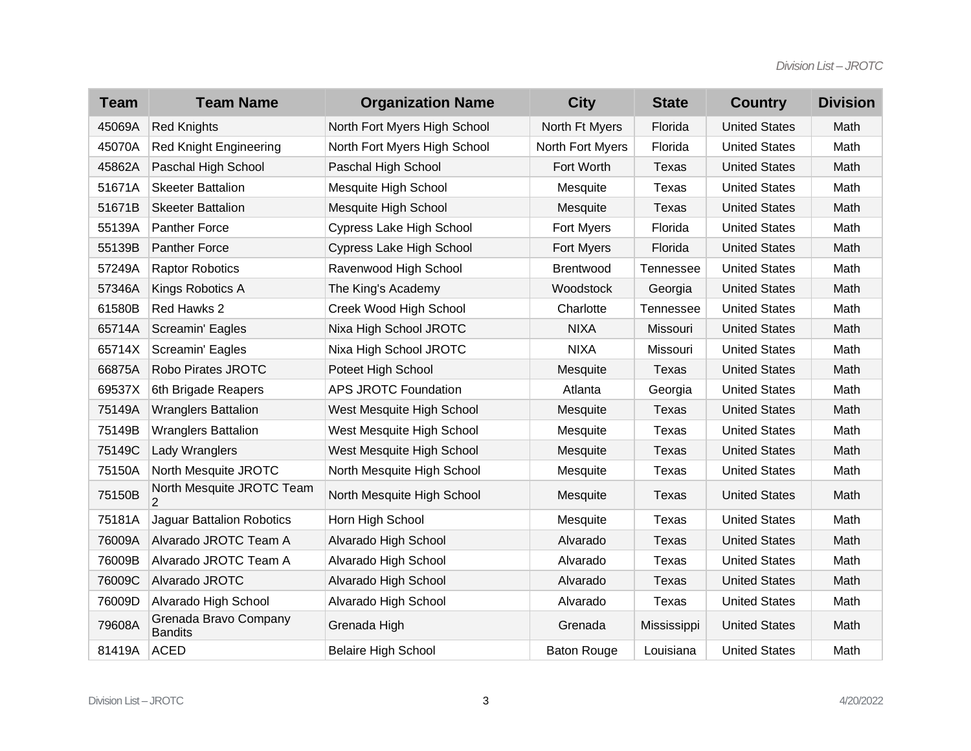| <b>Team</b> | <b>Team Name</b>                        | <b>Organization Name</b>        | <b>City</b>        | <b>State</b>     | <b>Country</b>       | <b>Division</b> |
|-------------|-----------------------------------------|---------------------------------|--------------------|------------------|----------------------|-----------------|
| 45069A      | <b>Red Knights</b>                      | North Fort Myers High School    | North Ft Myers     | Florida          | <b>United States</b> | Math            |
| 45070A      | <b>Red Knight Engineering</b>           | North Fort Myers High School    | North Fort Myers   | Florida          | <b>United States</b> | Math            |
| 45862A      | Paschal High School                     | Paschal High School             | Fort Worth         | <b>Texas</b>     | <b>United States</b> | Math            |
| 51671A      | <b>Skeeter Battalion</b>                | Mesquite High School            | Mesquite           | Texas            | <b>United States</b> | Math            |
| 51671B      | <b>Skeeter Battalion</b>                | Mesquite High School            | Mesquite           | Texas            | <b>United States</b> | Math            |
| 55139A      | <b>Panther Force</b>                    | Cypress Lake High School        | Fort Myers         | Florida          | <b>United States</b> | Math            |
| 55139B      | <b>Panther Force</b>                    | <b>Cypress Lake High School</b> | Fort Myers         | Florida          | <b>United States</b> | Math            |
| 57249A      | <b>Raptor Robotics</b>                  | Ravenwood High School           | <b>Brentwood</b>   | <b>Tennessee</b> | <b>United States</b> | Math            |
| 57346A      | Kings Robotics A                        | The King's Academy              | Woodstock          | Georgia          | <b>United States</b> | Math            |
| 61580B      | Red Hawks 2                             | Creek Wood High School          | Charlotte          | <b>Tennessee</b> | <b>United States</b> | Math            |
| 65714A      | Screamin' Eagles                        | Nixa High School JROTC          | <b>NIXA</b>        | Missouri         | <b>United States</b> | Math            |
| 65714X      | Screamin' Eagles                        | Nixa High School JROTC          | <b>NIXA</b>        | Missouri         | <b>United States</b> | Math            |
| 66875A      | Robo Pirates JROTC                      | Poteet High School              | Mesquite           | Texas            | <b>United States</b> | Math            |
| 69537X      | 6th Brigade Reapers                     | <b>APS JROTC Foundation</b>     | Atlanta            | Georgia          | <b>United States</b> | Math            |
| 75149A      | <b>Wranglers Battalion</b>              | West Mesquite High School       | Mesquite           | Texas            | <b>United States</b> | Math            |
| 75149B      | <b>Wranglers Battalion</b>              | West Mesquite High School       | Mesquite           | Texas            | <b>United States</b> | Math            |
| 75149C      | Lady Wranglers                          | West Mesquite High School       | Mesquite           | <b>Texas</b>     | <b>United States</b> | Math            |
| 75150A      | North Mesquite JROTC                    | North Mesquite High School      | Mesquite           | Texas            | <b>United States</b> | Math            |
| 75150B      | North Mesquite JROTC Team<br>2          | North Mesquite High School      | Mesquite           | Texas            | <b>United States</b> | Math            |
| 75181A      | <b>Jaguar Battalion Robotics</b>        | Horn High School                | Mesquite           | Texas            | <b>United States</b> | Math            |
| 76009A      | Alvarado JROTC Team A                   | Alvarado High School            | Alvarado           | Texas            | <b>United States</b> | Math            |
| 76009B      | Alvarado JROTC Team A                   | Alvarado High School            | Alvarado           | Texas            | <b>United States</b> | Math            |
| 76009C      | Alvarado JROTC                          | Alvarado High School            | Alvarado           | Texas            | <b>United States</b> | Math            |
| 76009D      | Alvarado High School                    | Alvarado High School            | Alvarado           | Texas            | <b>United States</b> | Math            |
| 79608A      | Grenada Bravo Company<br><b>Bandits</b> | Grenada High                    | Grenada            | Mississippi      | <b>United States</b> | Math            |
| 81419A      | <b>ACED</b>                             | <b>Belaire High School</b>      | <b>Baton Rouge</b> | Louisiana        | <b>United States</b> | Math            |